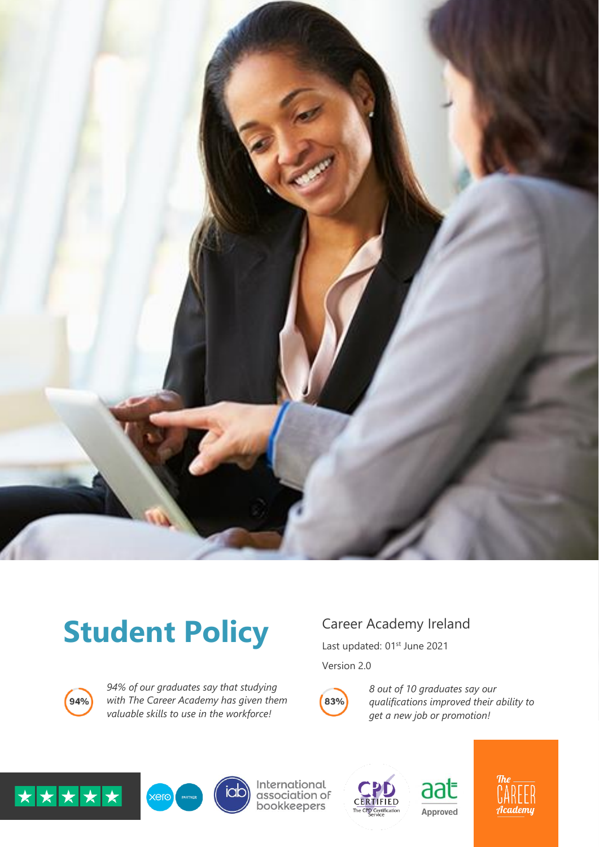

# Student Policy Career Academy Ireland



*94% of our graduates say that studying with The Career Academy has given them valuable skills to use in the workforce!*

Last updated: 01<sup>st</sup> June 2021

Version 2.0

![](_page_0_Picture_7.jpeg)

*8 out of 10 graduates say our qualifications improved their ability to get a new job or promotion!*

![](_page_0_Picture_9.jpeg)

![](_page_0_Picture_10.jpeg)

iab

International<br>association of bookkeepers

![](_page_0_Picture_12.jpeg)

![](_page_0_Picture_13.jpeg)

![](_page_0_Picture_14.jpeg)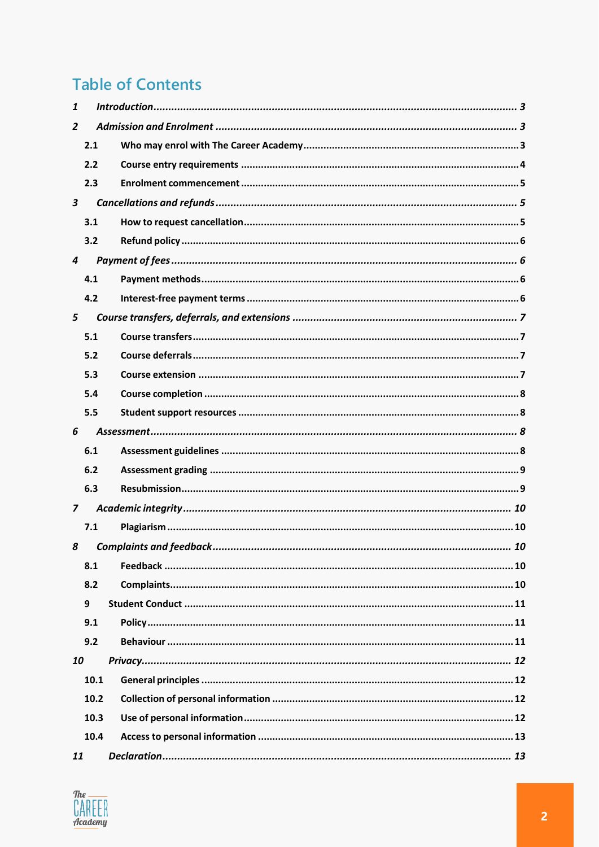## **Table of Contents**

| 1              |      |  |
|----------------|------|--|
| $\overline{2}$ |      |  |
|                | 2.1  |  |
|                | 2.2  |  |
|                | 2.3  |  |
| $\mathbf{3}$   |      |  |
|                | 3.1  |  |
|                | 3.2  |  |
| $\overline{4}$ |      |  |
|                | 4.1  |  |
|                | 4.2  |  |
| 5              |      |  |
|                | 5.1  |  |
|                | 5.2  |  |
|                | 5.3  |  |
|                | 5.4  |  |
|                | 5.5  |  |
| 6              |      |  |
|                | 6.1  |  |
|                | 6.2  |  |
|                | 6.3  |  |
| $\overline{z}$ |      |  |
|                | 7.1  |  |
| 8              |      |  |
|                | 8.1  |  |
|                | 8.2  |  |
|                | 9    |  |
|                | 9.1  |  |
|                | 9.2  |  |
| 10             |      |  |
|                | 10.1 |  |
|                | 10.2 |  |
|                | 10.3 |  |
|                | 10.4 |  |
| 11             |      |  |

![](_page_1_Picture_2.jpeg)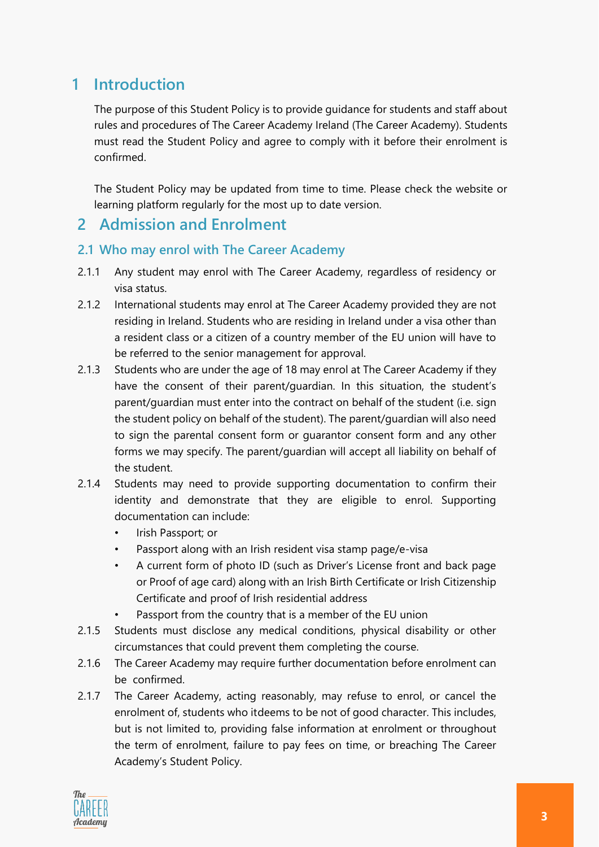### <span id="page-2-0"></span>**1 Introduction**

The purpose of this Student Policy is to provide guidance for students and staff about rules and procedures of The Career Academy Ireland (The Career Academy). Students must read the Student Policy and agree to comply with it before their enrolment is confirmed.

The Student Policy may be updated from time to time. Please check the website or learning platform regularly for the most up to date version.

### <span id="page-2-1"></span>**2 Admission and Enrolment**

#### <span id="page-2-2"></span>**2.1 Who may enrol with The Career Academy**

- 2.1.1 Any student may enrol with The Career Academy, regardless of residency or visa status.
- 2.1.2 International students may enrol at The Career Academy provided they are not residing in Ireland. Students who are residing in Ireland under a visa other than a resident class or a citizen of a country member of the EU union will have to be referred to the senior management for approval.
- 2.1.3 Students who are under the age of 18 may enrol at The Career Academy if they have the consent of their parent/guardian. In this situation, the student's parent/guardian must enter into the contract on behalf of the student (i.e. sign the student policy on behalf of the student). The parent/guardian will also need to sign the parental consent form or guarantor consent form and any other forms we may specify. The parent/guardian will accept all liability on behalf of the student.
- 2.1.4 Students may need to provide supporting documentation to confirm their identity and demonstrate that they are eligible to enrol. Supporting documentation can include:
	- Irish Passport; or
	- Passport along with an Irish resident visa stamp page/e-visa
	- A current form of photo ID (such as Driver's License front and back page or Proof of age card) along with an Irish Birth Certificate or Irish Citizenship Certificate and proof of Irish residential address
	- Passport from the country that is a member of the EU union
- 2.1.5 Students must disclose any medical conditions, physical disability or other circumstances that could prevent them completing the course.
- 2.1.6 The Career Academy may require further documentation before enrolment can be confirmed.
- 2.1.7 The Career Academy, acting reasonably, may refuse to enrol, or cancel the enrolment of, students who itdeems to be not of good character. This includes, but is not limited to, providing false information at enrolment or throughout the term of enrolment, failure to pay fees on time, or breaching The Career Academy's Student Policy.

![](_page_2_Picture_16.jpeg)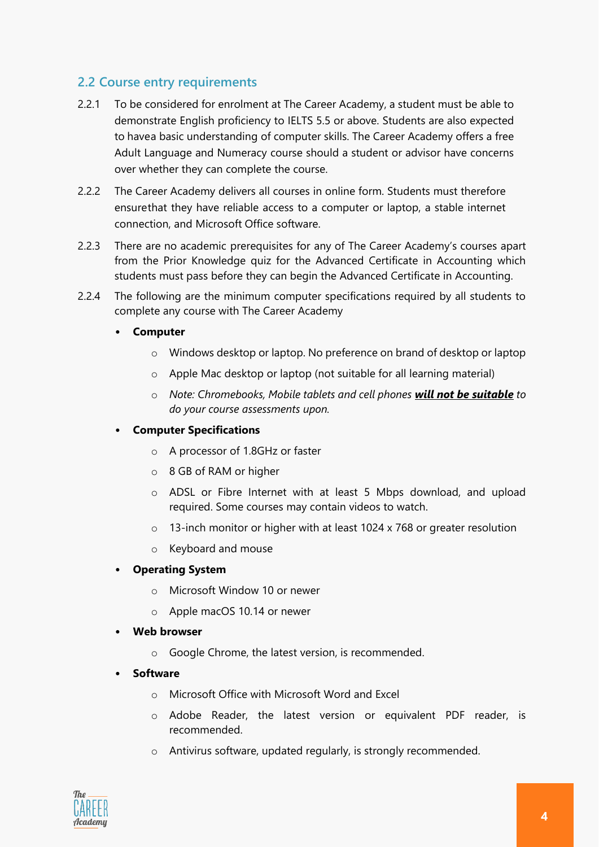#### <span id="page-3-0"></span>**2.2 Course entry requirements**

- 2.2.1 To be considered for enrolment at The Career Academy, a student must be able to demonstrate English proficiency to IELTS 5.5 or above. Students are also expected to havea basic understanding of computer skills. The Career Academy offers a free Adult Language and Numeracy course should a student or advisor have concerns over whether they can complete the course.
- 2.2.2 The Career Academy delivers all courses in online form. Students must therefore ensurethat they have reliable access to a computer or laptop, a stable internet connection, and Microsoft Office software.
- 2.2.3 There are no academic prerequisites for any of The Career Academy's courses apart from the Prior Knowledge quiz for the Advanced Certificate in Accounting which students must pass before they can begin the Advanced Certificate in Accounting.
- 2.2.4 The following are the minimum computer specifications required by all students to complete any course with The Career Academy
	- **Computer**
		- o Windows desktop or laptop. No preference on brand of desktop or laptop
		- o Apple Mac desktop or laptop (not suitable for all learning material)
		- o *Note: Chromebooks, Mobile tablets and cell phones will not be suitable to do your course assessments upon.*

#### • **Computer Specifications**

- o A processor of 1.8GHz or faster
- o 8 GB of RAM or higher
- o ADSL or Fibre Internet with at least 5 Mbps download, and upload required. Some courses may contain videos to watch.
- o 13-inch monitor or higher with at least 1024 x 768 or greater resolution
- o Keyboard and mouse

#### • **Operating System**

- o Microsoft Window 10 or newer
- o Apple macOS 10.14 or newer
- **Web browser**
	- o Google Chrome, the latest version, is recommended.
- **Software**
	- o Microsoft Office with Microsoft Word and Excel
	- o Adobe Reader, the latest version or equivalent PDF reader, is recommended.
	- o Antivirus software, updated regularly, is strongly recommended.

![](_page_3_Picture_24.jpeg)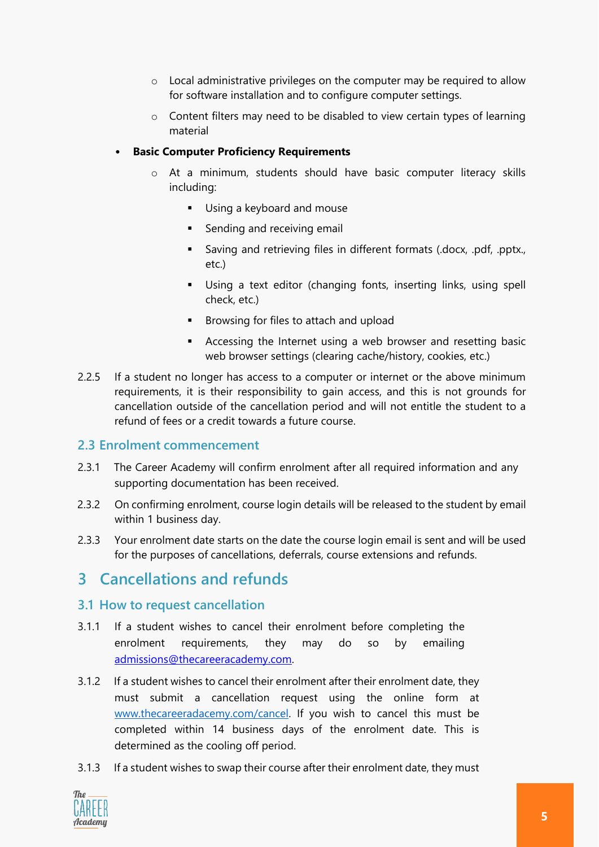- o Local administrative privileges on the computer may be required to allow for software installation and to configure computer settings.
- o Content filters may need to be disabled to view certain types of learning material

#### • **Basic Computer Proficiency Requirements**

- o At a minimum, students should have basic computer literacy skills including:
	- **■** Using a keyboard and mouse
	- **EXE** Sending and receiving email
	- **•** Saving and retrieving files in different formats (.docx, .pdf, .pptx., etc.)
	- Using a text editor (changing fonts, inserting links, using spell check, etc.)
	- Browsing for files to attach and upload
	- **EXE** Accessing the Internet using a web browser and resetting basic web browser settings (clearing cache/history, cookies, etc.)
- 2.2.5 If a student no longer has access to a computer or internet or the above minimum requirements, it is their responsibility to gain access, and this is not grounds for cancellation outside of the cancellation period and will not entitle the student to a refund of fees or a credit towards a future course.

#### <span id="page-4-0"></span>**2.3 Enrolment commencement**

- 2.3.1 The Career Academy will confirm enrolment after all required information and any supporting documentation has been received.
- 2.3.2 On confirming enrolment, course login details will be released to the student by email within 1 business day.
- 2.3.3 Your enrolment date starts on the date the course login email is sent and will be used for the purposes of cancellations, deferrals, course extensions and refunds.

### <span id="page-4-1"></span>**3 Cancellations and refunds**

#### <span id="page-4-2"></span>**3.1 How to request cancellation**

- 3.1.1 If a student wishes to cancel their enrolment before completing the enrolment requirements, they may do so by emailing [admissions@thecareeracademy.com.](mailto:admissions@thecareeracademy.com)
- 3.1.2 If a student wishes to cancel their enrolment after their enrolment date, they must submit a cancellation request using the online form at [www.thecareeradacemy.com/cancel.](http://www.thecareeradacemy.com/cancel) If you wish to cancel this must be completed within 14 business days of the enrolment date. This is determined as the cooling off period.
- 3.1.3 If a student wishes to swap their course after their enrolment date, they must

![](_page_4_Picture_20.jpeg)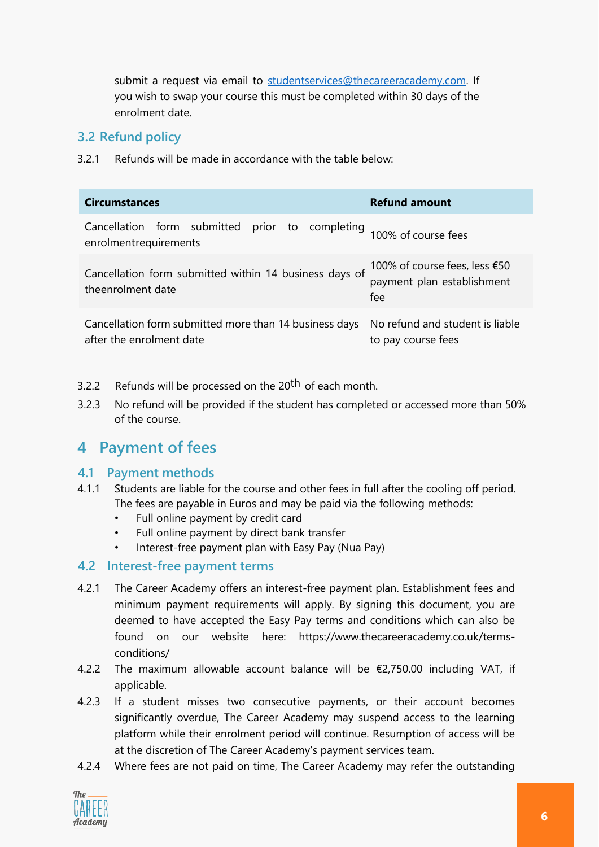submit a request via email to [studentservices@thecareeracademy.com.](mailto:studentservices@thecareeracademy.com) If you wish to swap your course this must be completed within 30 days of the enrolment date.

#### <span id="page-5-0"></span>**3.2 Refund policy**

3.2.1 Refunds will be made in accordance with the table below:

| <b>Circumstances</b>                                                                                               | <b>Refund amount</b>                                               |
|--------------------------------------------------------------------------------------------------------------------|--------------------------------------------------------------------|
| Cancellation form submitted prior to completing 100% of course fees<br>enrolmentrequirements                       |                                                                    |
| Cancellation form submitted within 14 business days of<br>theenrolment date                                        | 100% of course fees, less €50<br>payment plan establishment<br>fee |
| Cancellation form submitted more than 14 business days No refund and student is liable<br>after the enrolment date | to pay course fees                                                 |

- 3.2.2 Refunds will be processed on the 20<sup>th</sup> of each month.
- 3.2.3 No refund will be provided if the student has completed or accessed more than 50% of the course.

### <span id="page-5-1"></span>**4 Payment of fees**

#### <span id="page-5-2"></span>**4.1 Payment methods**

- 4.1.1 Students are liable for the course and other fees in full after the cooling off period. The fees are payable in Euros and may be paid via the following methods:
	- Full online payment by credit card
	- Full online payment by direct bank transfer
	- Interest-free payment plan with Easy Pay (Nua Pay)

#### <span id="page-5-3"></span>**4.2 Interest-free payment terms**

- 4.2.1 The Career Academy offers an interest-free payment plan. Establishment fees and minimum payment requirements will apply. By signing this document, you are deemed to have accepted the Easy Pay terms and conditions which can also be found on our website here: https://www.thecareeracademy.co.uk/termsconditions/
- 4.2.2 The maximum allowable account balance will be €2,750.00 including VAT, if applicable.
- 4.2.3 If a student misses two consecutive payments, or their account becomes significantly overdue, The Career Academy may suspend access to the learning platform while their enrolment period will continue. Resumption of access will be at the discretion of The Career Academy's payment services team.
- 4.2.4 Where fees are not paid on time, The Career Academy may refer the outstanding

![](_page_5_Picture_17.jpeg)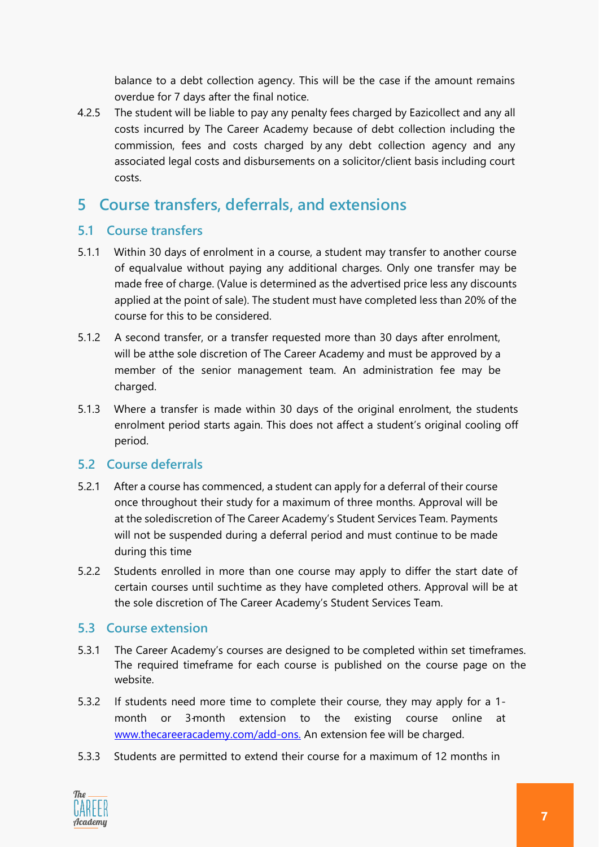balance to a debt collection agency. This will be the case if the amount remains overdue for 7 days after the final notice.

4.2.5 The student will be liable to pay any penalty fees charged by Eazicollect and any all costs incurred by The Career Academy because of debt collection including the commission, fees and costs charged by any debt collection agency and any associated legal costs and disbursements on a solicitor/client basis including court costs.

### <span id="page-6-0"></span>**5 Course transfers, deferrals, and extensions**

#### <span id="page-6-1"></span>**5.1 Course transfers**

- 5.1.1 Within 30 days of enrolment in a course, a student may transfer to another course of equalvalue without paying any additional charges. Only one transfer may be made free of charge. (Value is determined as the advertised price less any discounts applied at the point of sale). The student must have completed less than 20% of the course for this to be considered.
- 5.1.2 A second transfer, or a transfer requested more than 30 days after enrolment, will be atthe sole discretion of The Career Academy and must be approved by a member of the senior management team. An administration fee may be charged.
- 5.1.3 Where a transfer is made within 30 days of the original enrolment, the students enrolment period starts again. This does not affect a student's original cooling off period.

#### <span id="page-6-2"></span>**5.2 Course deferrals**

- 5.2.1 After a course has commenced, a student can apply for a deferral of their course once throughout their study for a maximum of three months. Approval will be at the solediscretion of The Career Academy's Student Services Team. Payments will not be suspended during a deferral period and must continue to be made during this time
- 5.2.2 Students enrolled in more than one course may apply to differ the start date of certain courses until suchtime as they have completed others. Approval will be at the sole discretion of The Career Academy's Student Services Team.

#### <span id="page-6-3"></span>**5.3 Course extension**

- 5.3.1 The Career Academy's courses are designed to be completed within set timeframes. The required timeframe for each course is published on the course page on the website.
- 5.3.2 If students need more time to complete their course, they may apply for a 1 month or 3-month extension to the existing course online at [www.thecareeracademy.com/add-ons.](http://www.thecareeracademy.com/add-ons) An extension fee will be charged.
- 5.3.3 Students are permitted to extend their course for a maximum of 12 months in

![](_page_6_Picture_14.jpeg)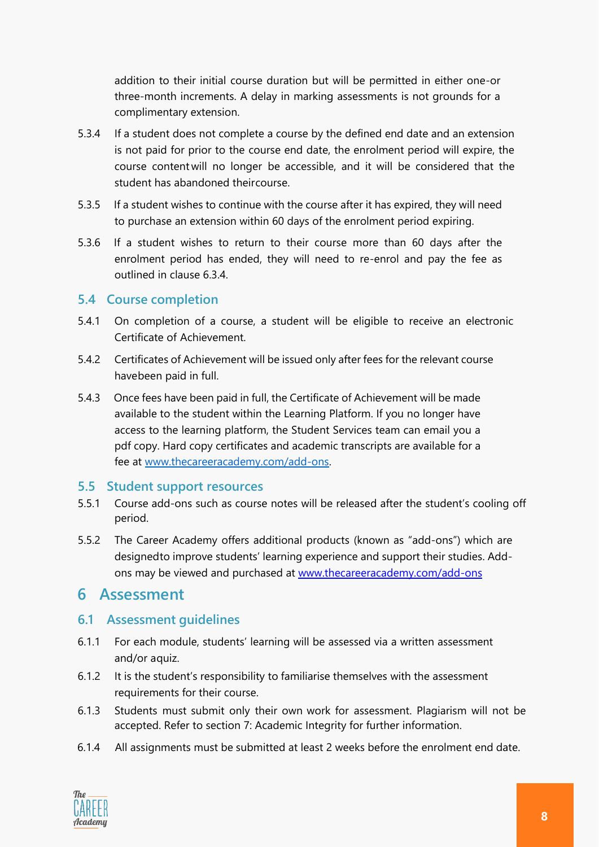addition to their initial course duration but will be permitted in either one-or three-month increments. A delay in marking assessments is not grounds for a complimentary extension.

- 5.3.4 If a student does not complete a course by the defined end date and an extension is not paid for prior to the course end date, the enrolment period will expire, the course content will no longer be accessible, and it will be considered that the student has abandoned theircourse.
- 5.3.5 If a student wishes to continue with the course after it has expired, they will need to purchase an extension within 60 days of the enrolment period expiring.
- 5.3.6 If a student wishes to return to their course more than 60 days after the enrolment period has ended, they will need to re-enrol and pay the fee as outlined in clause 6.3.4.

#### <span id="page-7-0"></span>**5.4 Course completion**

- 5.4.1 On completion of a course, a student will be eligible to receive an electronic Certificate of Achievement.
- 5.4.2 Certificates of Achievement will be issued only after fees for the relevant course havebeen paid in full.
- 5.4.3 Once fees have been paid in full, the Certificate of Achievement will be made available to the student within the Learning Platform. If you no longer have access to the learning platform, the Student Services team can email you a pdf copy. Hard copy certificates and academic transcripts are available for a fee at [www.thecareeracademy.com/add-ons.](http://www.thecareeracademy.com/add-ons)

#### <span id="page-7-1"></span>**5.5 Student support resources**

- 5.5.1 Course add-ons such as course notes will be released after the student's cooling off period.
- 5.5.2 The Career Academy offers additional products (known as "add-ons") which are designedto improve students' learning experience and support their studies. Addons may be viewed and purchased at [www.thecareeracademy.com/add-ons](http://www.thecareeracademy.com/add-ons)

#### <span id="page-7-2"></span>**6 Assessment**

#### <span id="page-7-3"></span>**6.1 Assessment guidelines**

- 6.1.1 For each module, students' learning will be assessed via a written assessment and/or aquiz.
- 6.1.2 It is the student's responsibility to familiarise themselves with the assessment requirements for their course.
- 6.1.3 Students must submit only their own work for assessment. Plagiarism will not be accepted. Refer to section 7: Academic Integrity for further information.
- 6.1.4 All assignments must be submitted at least 2 weeks before the enrolment end date.

![](_page_7_Picture_17.jpeg)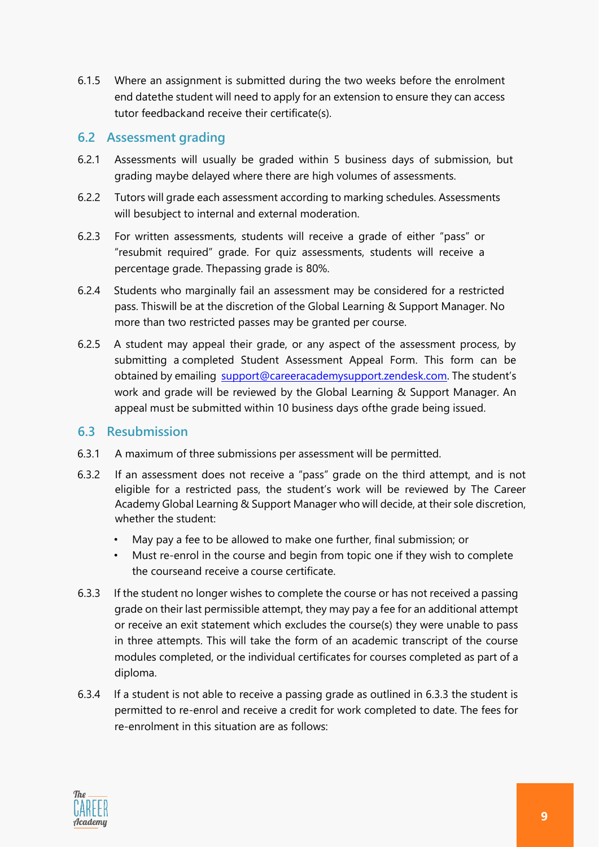6.1.5 Where an assignment is submitted during the two weeks before the enrolment end datethe student will need to apply for an extension to ensure they can access tutor feedbackand receive their certificate(s).

#### <span id="page-8-0"></span>**6.2 Assessment grading**

- 6.2.1 Assessments will usually be graded within 5 business days of submission, but grading maybe delayed where there are high volumes of assessments.
- 6.2.2 Tutors will grade each assessment according to marking schedules. Assessments will besubject to internal and external moderation.
- 6.2.3 For written assessments, students will receive a grade of either "pass" or "resubmit required" grade. For quiz assessments, students will receive a percentage grade. Thepassing grade is 80%.
- 6.2.4 Students who marginally fail an assessment may be considered for a restricted pass. Thiswill be at the discretion of the Global Learning & Support Manager. No more than two restricted passes may be granted per course.
- 6.2.5 A student may appeal their grade, or any aspect of the assessment process, by submitting a completed Student Assessment Appeal Form. This form can be obtained by emailing [support@careeracademysupport.zendesk.com.](mailto:studentservices@thecareeracademy.com) The student's work and grade will be reviewed by the Global Learning & Support Manager. An appeal must be submitted within 10 business days ofthe grade being issued.

#### <span id="page-8-1"></span>**6.3 Resubmission**

- 6.3.1 A maximum of three submissions per assessment will be permitted.
- 6.3.2 If an assessment does not receive a "pass" grade on the third attempt, and is not eligible for a restricted pass, the student's work will be reviewed by The Career Academy Global Learning & Support Manager who will decide, at their sole discretion, whether the student:
	- May pay a fee to be allowed to make one further, final submission; or
	- Must re-enrol in the course and begin from topic one if they wish to complete the courseand receive a course certificate.
- 6.3.3 If the student no longer wishes to complete the course or has not received a passing grade on their last permissible attempt, they may pay a fee for an additional attempt or receive an exit statement which excludes the course(s) they were unable to pass in three attempts. This will take the form of an academic transcript of the course modules completed, or the individual certificates for courses completed as part of a diploma.
- 6.3.4 If a student is not able to receive a passing grade as outlined in 6.3.3 the student is permitted to re-enrol and receive a credit for work completed to date. The fees for re-enrolment in this situation are as follows:

![](_page_8_Picture_14.jpeg)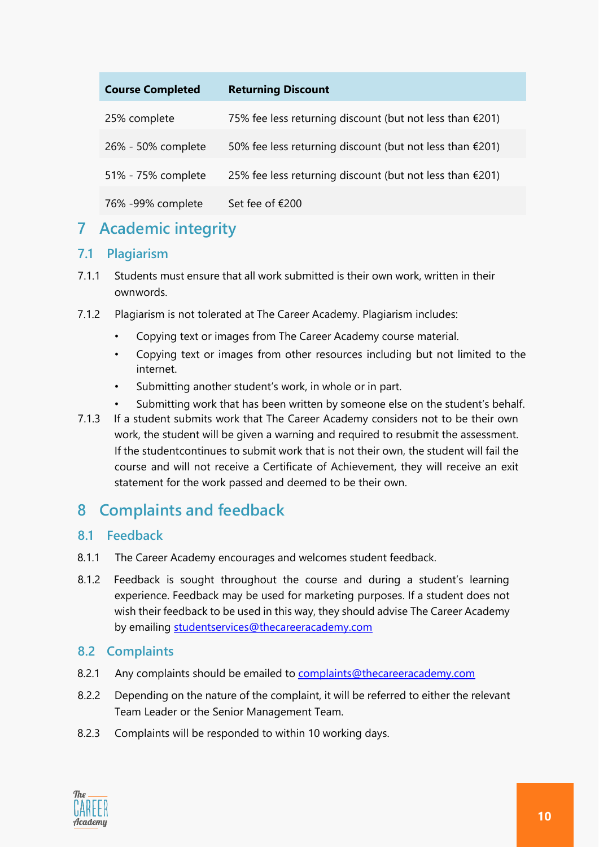| <b>Course Completed</b> | <b>Returning Discount</b>                                          |
|-------------------------|--------------------------------------------------------------------|
| 25% complete            | 75% fee less returning discount (but not less than $\epsilon$ 201) |
| 26% - 50% complete      | 50% fee less returning discount (but not less than $£201$ )        |
| 51% - 75% complete      | 25% fee less returning discount (but not less than $£201$ )        |
|                         |                                                                    |
| 76% -99% complete       | Set fee of €200                                                    |

### <span id="page-9-0"></span>**7 Academic integrity**

#### <span id="page-9-1"></span>**7.1 Plagiarism**

- 7.1.1 Students must ensure that all work submitted is their own work, written in their ownwords.
- 7.1.2 Plagiarism is not tolerated at The Career Academy. Plagiarism includes:
	- Copying text or images from The Career Academy course material.
	- Copying text or images from other resources including but not limited to the internet.
	- Submitting another student's work, in whole or in part.
	- Submitting work that has been written by someone else on the student's behalf.
- 7.1.3 If a student submits work that The Career Academy considers not to be their own work, the student will be given a warning and required to resubmit the assessment. If the studentcontinues to submit work that is not their own, the student will fail the course and will not receive a Certificate of Achievement, they will receive an exit statement for the work passed and deemed to be their own.

### <span id="page-9-2"></span>**8 Complaints and feedback**

#### <span id="page-9-3"></span>**8.1 Feedback**

- 8.1.1 The Career Academy encourages and welcomes student feedback.
- 8.1.2 Feedback is sought throughout the course and during a student's learning experience. Feedback may be used for marketing purposes. If a student does not wish their feedback to be used in this way, they should advise The Career Academy by emailing [studentservices@thecareeracademy.com](mailto:studentservices@thecareeracademy.com)

#### <span id="page-9-4"></span>**8.2 Complaints**

- 8.2.1 Any complaints should be emailed to [complaints@thecareeracademy.com](mailto:complaints@thecareeracademy.com)
- 8.2.2 Depending on the nature of the complaint, it will be referred to either the relevant Team Leader or the Senior Management Team.
- 8.2.3 Complaints will be responded to within 10 working days.

![](_page_9_Picture_18.jpeg)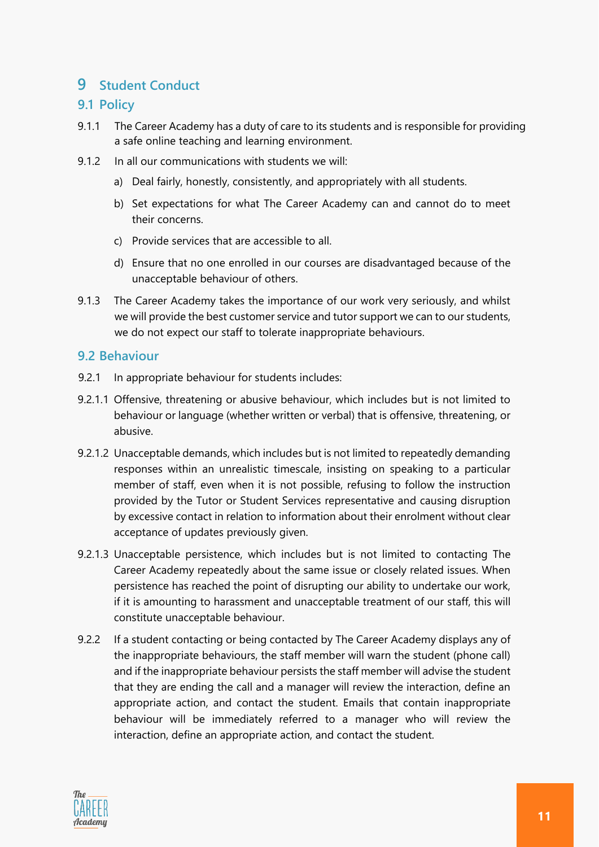### <span id="page-10-0"></span>**9 Student Conduct**

#### <span id="page-10-1"></span>**9.1 Policy**

- 9.1.1 The Career Academy has a duty of care to its students and is responsible for providing a safe online teaching and learning environment.
- 9.1.2 In all our communications with students we will:
	- a) Deal fairly, honestly, consistently, and appropriately with all students.
	- b) Set expectations for what The Career Academy can and cannot do to meet their concerns.
	- c) Provide services that are accessible to all.
	- d) Ensure that no one enrolled in our courses are disadvantaged because of the unacceptable behaviour of others.
- 9.1.3 The Career Academy takes the importance of our work very seriously, and whilst we will provide the best customer service and tutor support we can to our students, we do not expect our staff to tolerate inappropriate behaviours.

#### <span id="page-10-2"></span>**9.2 Behaviour**

- 9.2.1 In appropriate behaviour for students includes:
- 9.2.1.1 Offensive, threatening or abusive behaviour, which includes but is not limited to behaviour or language (whether written or verbal) that is offensive, threatening, or abusive.
- 9.2.1.2 Unacceptable demands, which includes but is not limited to repeatedly demanding responses within an unrealistic timescale, insisting on speaking to a particular member of staff, even when it is not possible, refusing to follow the instruction provided by the Tutor or Student Services representative and causing disruption by excessive contact in relation to information about their enrolment without clear acceptance of updates previously given.
- 9.2.1.3 Unacceptable persistence, which includes but is not limited to contacting The Career Academy repeatedly about the same issue or closely related issues. When persistence has reached the point of disrupting our ability to undertake our work, if it is amounting to harassment and unacceptable treatment of our staff, this will constitute unacceptable behaviour.
- 9.2.2 If a student contacting or being contacted by The Career Academy displays any of the inappropriate behaviours, the staff member will warn the student (phone call) and if the inappropriate behaviour persists the staff member will advise the student that they are ending the call and a manager will review the interaction, define an appropriate action, and contact the student. Emails that contain inappropriate behaviour will be immediately referred to a manager who will review the interaction, define an appropriate action, and contact the student.

![](_page_10_Picture_15.jpeg)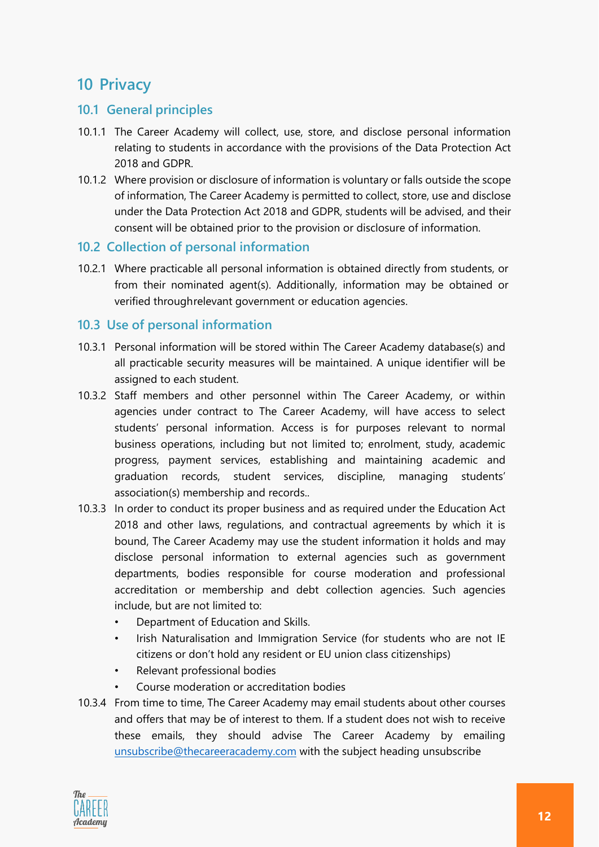### <span id="page-11-0"></span>**10 Privacy**

#### <span id="page-11-1"></span>**10.1 General principles**

- 10.1.1 The Career Academy will collect, use, store, and disclose personal information relating to students in accordance with the provisions of the Data Protection Act 2018 and GDPR.
- 10.1.2 Where provision or disclosure of information is voluntary or falls outside the scope of information, The Career Academy is permitted to collect, store, use and disclose under the Data Protection Act 2018 and GDPR, students will be advised, and their consent will be obtained prior to the provision or disclosure of information.

#### <span id="page-11-2"></span>**10.2 Collection of personal information**

10.2.1 Where practicable all personal information is obtained directly from students, or from their nominated agent(s). Additionally, information may be obtained or verified throughrelevant government or education agencies.

#### <span id="page-11-3"></span>**10.3 Use of personal information**

- 10.3.1 Personal information will be stored within The Career Academy database(s) and all practicable security measures will be maintained. A unique identifier will be assigned to each student.
- 10.3.2 Staff members and other personnel within The Career Academy, or within agencies under contract to The Career Academy, will have access to select students' personal information. Access is for purposes relevant to normal business operations, including but not limited to; enrolment, study, academic progress, payment services, establishing and maintaining academic and graduation records, student services, discipline, managing students' association(s) membership and records..
- 10.3.3 In order to conduct its proper business and as required under the Education Act 2018 and other laws, regulations, and contractual agreements by which it is bound, The Career Academy may use the student information it holds and may disclose personal information to external agencies such as government departments, bodies responsible for course moderation and professional accreditation or membership and debt collection agencies. Such agencies include, but are not limited to:
	- Department of Education and Skills.
	- Irish Naturalisation and Immigration Service (for students who are not IE citizens or don't hold any resident or EU union class citizenships)
	- Relevant professional bodies
	- Course moderation or accreditation bodies
- 10.3.4 From time to time, The Career Academy may email students about other courses and offers that may be of interest to them. If a student does not wish to receive these emails, they should advise The Career Academy by emailing [unsubscribe@thecareeracademy.com](mailto:unsubscribe@thecareeracademy.com) with the subject heading unsubscribe

![](_page_11_Picture_15.jpeg)